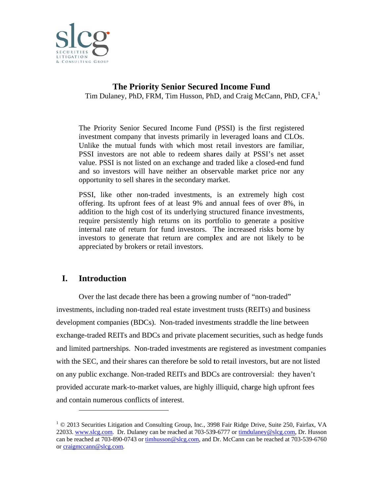

# Tim Dulaney, PhD, FRM, Tim Husson, PhD, and Craig McCann, PhD, CFA,<sup>1</sup> **The Priority Senior Secured Income Fund**

The Priority Senior Secured Income Fund (PSSI) is the first registered investment company that invests primarily in leveraged loans and CLOs. Unlike the mutual funds with which most retail investors are familiar, PSSI investors are not able to redeem shares daily at PSSI's net asset value. PSSI is not listed on an exchange and traded like a closed-end fund and so investors will have neither an observable market price nor any opportunity to sell shares in the secondary market.

PSSI, like other non-traded investments, is an extremely high cost offering. Its upfront fees of at least 9% and annual fees of over 8%, in addition to the high cost of its underlying structured finance investments, require persistently high returns on its portfolio to generate a positive internal rate of return for fund investors. The increased risks borne by investors to generate that return are complex and are not likely to be appreciated by brokers or retail investors.

#### **I. Introduction**

 $\overline{\phantom{a}}$ 

 $\overline{a}$ 

 $\overline{a}$ 

investments, including non-traded real estate investment trusts (REITs) and business development companies (BDCs). Non-traded investments straddle the line between exchange-traded REITs and BDCs and private placement securities, such as hedge funds exchange-traded REITs and BDCs and private placement securities, such as hedge funds<br>and limited partnerships. Non-traded investments are registered as investment companies with the SEC, and their shares can therefore be sold to retail investors, but are not listed on any public exchange. Non-traded REITs and BDCs are controversial: they haven't provided accurate mark-to-market values, are highly illiquid, charge high upfront fees and contain numerous conflicts of interest. Over the last decade there has been a growing number of "non-traded"

<sup>&</sup>lt;sup>1</sup> © 2013 Securities Litigation and Consulting Group, Inc., 3998 Fair Ridge Drive, Suite 250, Fairfax, VA 22033. www.slcg.com. Dr. Dulaney can be reached at 703-539-6777 or timdulaney@slcg.com, Dr. Husson can be reached at 703-890-0743 or timhusson@slcg.com, and Dr. McCann can be reached at 703-539-6760 or craigmccann@slcg.com.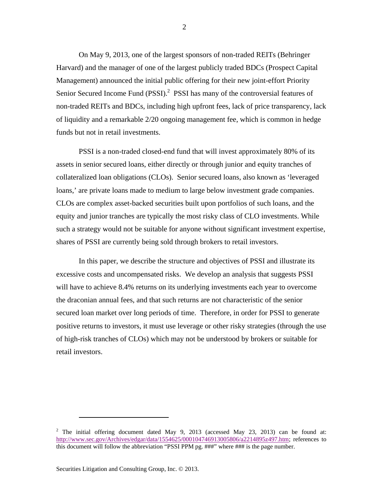On May 9, 2013, one of the largest sponsors of non-traded REITs (Behringer Harvard) and the manager of one of the largest publicly traded BDCs (Prospect Capital Management) announced the initial public offering for their new joint-effort Priority Senior Secured Income Fund (PSSI).<sup>2</sup> PSSI has many of the controversial features of non-traded REITs and BDCs, including high upfront fees, lack of price transparency, lack of liquidity and a remarkable 2/20 ongoing management fee, which is common in hedge funds but not in retail investments.

PSSI is a non-traded closed-end fund that will invest approximately 80% of its assets in senior secured loans, either directly or through junior and equity tranches of collateralized loan obligations (CLOs). Senior secured loans, also known as 'leveraged loans,' are private loans made to medium to large below investment grade companies. CLOs are complex asset-backed securities built upon portfolios of such loans, and the equity and junior tranches are typically the most risky class of CLO investments. While such a strategy would not be suitable for anyone without significant investment expertise, shares of PSSI are currently being sold through brokers to retail investors.

In this paper, we describe the structure and objectives of PSSI and illustrate its excessive costs and uncompensated risks. We develop an analysis that suggests PSSI will have to achieve 8.4% returns on its underlying investments each year to overcome the draconian annual fees, and that such returns are not characteristic of the senior secured loan market over long periods of time. Therefore, in order for PSSI to generate positive returns to investors, it must use leverage or other risky strategies (through the use of high-risk tranches of CLOs) which may not be understood by brokers or suitable for retail investors.

<sup>&</sup>lt;sup>2</sup> The initial offering document dated May 9, 2013 (accessed May 23, 2013) can be found at: http://www.sec.gov/Archives/edgar/data/1554625/000104746913005806/a2214895z497.htm; references to this document will follow the abbreviation "PSSI PPM pg. ###" where ### is the page number.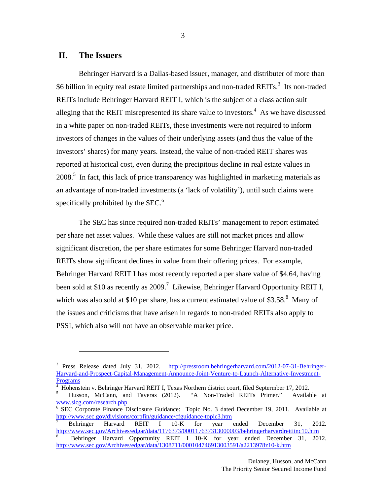### **II. The Issuers**

 $\overline{a}$ 

Behringer Harvard is a Dallas-based issuer, manager, and distributer of more than \$6 billion in equity real estate limited partnerships and non-traded REITs.<sup>3</sup> Its non-traded REITs include Behringer Harvard REIT I, which is the subject of a class action suit alleging that the REIT misrepresented its share value to investors.<sup>4</sup> As we have discussed in a white paper on non-traded REITs, these investments were not required to inform investors of changes in the values of their underlying assets (and thus the value of the investors' shares) for many years. Instead, the value of non-traded REIT shares was reported at historical cost, even during the precipitous decline in real estate values in  $2008$ <sup>5</sup>. In fact, this lack of price transparency was highlighted in marketing materials as an advantage of non-traded investments (a 'lack of volatility'), until such claims were specifically prohibited by the SEC.<sup>6</sup>

The SEC has since required non-traded REITs' management to report estimated per share net asset values. While these values are still not market prices and allow significant discretion, the per share estimates for some Behringer Harvard non-traded REITs show significant declines in value from their offering prices. For example, Behringer Harvard REIT I has most recently reported a per share value of \$4.64, having been sold at \$10 as recently as 2009.<sup>7</sup> Likewise, Behringer Harvard Opportunity REIT I, which was also sold at \$10 per share, has a current estimated value of \$3.58. $8$  Many of the issues and criticisms that have arisen in regards to non-traded REITs also apply to PSSI, which also will not have an observable market price.

3

<sup>&</sup>lt;sup>3</sup> Press Release dated July 31, 2012. http://pressroom.behringerharvard.com/2012-07-31-Behringer-Harvard-and-Prospect-Capital-Management-Announce-Joint-Venture-to-Launch-Alternative-Investment-Programs

<sup>4</sup> Hohenstein v. Behringer Harvard REIT I, Texas Northern district court, filed Septermber 17, 2012.

<sup>5</sup> Husson, McCann, and Taveras (2012). "A Non-Traded REITs Primer." Available at www.slcg.com/research.php 6

 $\overline{6}$  SEC Corporate Finance Disclosure Guidance: Topic No. 3 dated December 19, 2011. Available at http://www.sec.gov/divisions/corpfin/guidance/cfguidance-topic3.htm

<sup>7</sup> Behringer Harvard REIT I 10-K for year ended December 31, 2012. http://www.sec.gov/Archives/edgar/data/1176373/000117637313000003/behringerharvardreitiinc10.htm

<sup>8</sup> Behringer Harvard Opportunity REIT I 10-K for year ended December 31, 2012. http://www.sec.gov/Archives/edgar/data/1308711/000104746913003591/a2213978z10-k.htm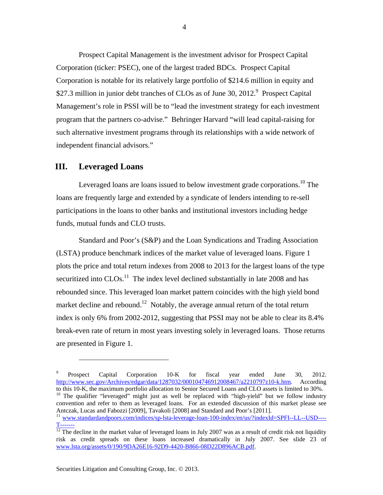Prospect Capital Management is the investment advisor for Prospect Capital Corporation (ticker: PSEC), one of the largest traded BDCs. Prospect Capital Corporation is notable for its relatively large portfolio of \$214.6 million in equity and \$27.3 million in junior debt tranches of CLOs as of June 30, 2012.<sup>9</sup> Prospect Capital Management's role in PSSI will be to "lead the investment strategy for each investment program that the partners co-advise." Behringer Harvard "will lead capital-raising for such alternative investment programs through its relationships with a wide network of independent financial advisors."

### **III. Leveraged Loans**

 $\overline{a}$ 

Leveraged loans are loans issued to below investment grade corporations.<sup>10</sup> The loans are frequently large and extended by a syndicate of lenders intending to re-sell participations in the loans to other banks and institutional investors including hedge funds, mutual funds and CLO trusts.

Standard and Poor's (S&P) and the Loan Syndications and Trading Association (LSTA) produce benchmark indices of the market value of leveraged loans. Figure 1 plots the price and total return indexes from 2008 to 2013 for the largest loans of the type securitized into  $CLOs<sup>11</sup>$ . The index level declined substantially in late 2008 and has rebounded since. This leveraged loan market pattern coincides with the high yield bond market decline and rebound.<sup>12</sup> Notably, the average annual return of the total return index is only 6% from 2002-2012, suggesting that PSSI may not be able to clear its 8.4% break-even rate of return in most years investing solely in leveraged loans. Those returns are presented in Figure 1.

<sup>9</sup> Prospect Capital Corporation 10-K for fiscal year ended June 30, 2012. http://www.sec.gov/Archives/edgar/data/1287032/000104746912008467/a2210797z10-k.htm. According to this 10-K, the maximum portfolio allocation to Senior Secured Loans and CLO assets is limited to 30%. <sup>10</sup> The qualifier "leveraged" might just as well be replaced with "high-yield" but we follow industry convention and refer to them as leveraged loans. For an extended discussion of this market please see Antczak, Lucas and Fabozzi [2009], Tavakoli [2008] and Standard and Poor's [2011].

<sup>&</sup>lt;sup>11</sup> www.standardandpoors.com/indices/sp-lsta-leverage-loan-100-index/en/us/?indexId=SPFI--LL--USD----T-------

 $\frac{122}{12}$  The decline in the market value of leveraged loans in July 2007 was as a result of credit risk not liquidity risk as credit spreads on these loans increased dramatically in July 2007. See slide 23 of www.lsta.org/assets/0/190/9DA26E16-92D9-4420-B866-08D22D896ACB.pdf.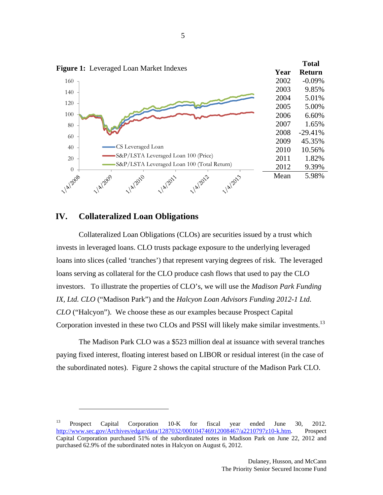

### **IV. Collateralized Loan Obligations**

1

Collateralized Loan Obligations (CLOs) are securities issued by a trust which invests in leveraged loans. CLO trusts package exposure to the underlying leveraged loans into slices (called 'tranches') that represent varying degrees of risk. The leveraged loans serving as collateral for the CLO produce cash flows that used to pay the CLO investors. To illustrate the properties of CLO's, we will use the *Madison Park Funding IX, Ltd. CLO* ("Madison Park") and the *Halcyon Loan Advisors Funding 2012-1 Ltd. CLO* ("Halcyon"). We choose these as our examples because Prospect Capital Corporation invested in these two CLOs and PSSI will likely make similar investments.<sup>13</sup>

 The Madison Park CLO was a \$523 million deal at issuance with several tranches paying fixed interest, floating interest based on LIBOR or residual interest (in the case of the subordinated notes). Figure 2 shows the capital structure of the Madison Park CLO.

<sup>&</sup>lt;sup>13</sup> Prospect Capital Corporation 10-K for fiscal year ended June 30, 2012. http://www.sec.gov/Archives/edgar/data/1287032/000104746912008467/a2210797z10-k.htm. Prospect Capital Corporation purchased 51% of the subordinated notes in Madison Park on June 22, 2012 and purchased 62.9% of the subordinated notes in Halcyon on August 6, 2012.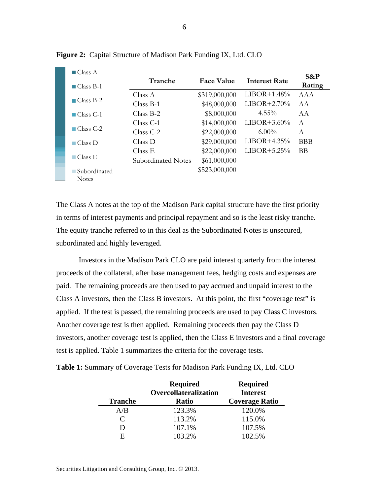| $\Box$ Class A<br>$\Box$ Class B-1 | Tranche            | <b>Face Value</b> | Interest Rate | $S\&P$<br>Rating |
|------------------------------------|--------------------|-------------------|---------------|------------------|
|                                    | Class A            | \$319,000,000     | $LIBOR+1.48%$ | AAA              |
| $\Box$ Class B-2                   | $Class B-1$        | \$48,000,000      | $LIBOR+2.70%$ | A A              |
| $\Box$ Class C-1                   | $Class B-2$        | \$8,000,000       | $4.55\%$      | AA               |
|                                    | $Class C-1$        | \$14,000,000      | $LIBOR+3.60%$ | A                |
| $\Box$ Class C-2                   | $Class C-2$        | \$22,000,000      | $6.00\%$      | A                |
| $\Box$ Class D                     | Class D            | \$29,000,000      | $LIBOR+4.35%$ | <b>BBB</b>       |
|                                    | Class E            | \$22,000,000      | $LIBOR+5.25%$ | <b>BB</b>        |
| $\Box$ Class E                     | Subordinated Notes | \$61,000,000      |               |                  |
| ■ Subordinated                     |                    | \$523,000,000     |               |                  |
| <b>Notes</b>                       |                    |                   |               |                  |

**Figure 2:** Capital Structure of Madison Park Funding IX, Ltd. CLO

The Class A notes at the top of the Madison Park capital structure have the first priority in terms of interest payments and principal repayment and so is the least risky tranche. The equity tranche referred to in this deal as the Subordinated Notes is unsecured, subordinated and highly leveraged.

Investors in the Madison Park CLO are paid interest quarterly from the interest proceeds of the collateral, after base management fees, hedging costs and expenses are paid. The remaining proceeds are then used to pay accrued and unpaid interest to the Class A investors, then the Class B investors. At this point, the first "coverage test" is applied. If the test is passed, the remaining proceeds are used to pay Class C investors. Another coverage test is then applied. Remaining proceeds then pay the Class D investors, another coverage test is applied, then the Class E investors and a final coverage test is applied. Table 1 summarizes the criteria for the coverage tests.

| <b>Tranche</b> | <b>Required</b><br>Overcollateralization<br><b>Ratio</b> | <b>Required</b><br><b>Interest</b><br><b>Coverage Ratio</b> |  |
|----------------|----------------------------------------------------------|-------------------------------------------------------------|--|
| A/B            | 123.3%                                                   | 120.0%                                                      |  |
| C              | 113.2%                                                   | 115.0%                                                      |  |
| D              | 107.1%                                                   | 107.5%                                                      |  |
| F              | 103.2%                                                   | 102.5%                                                      |  |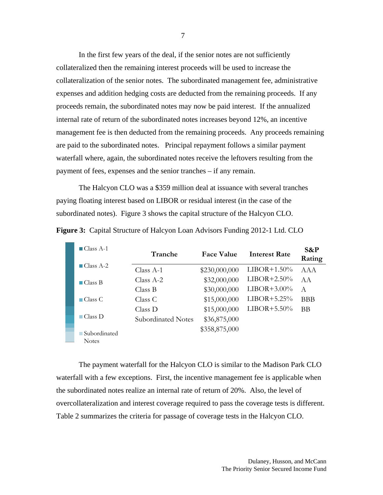In the first few years of the deal, if the senior notes are not sufficiently collateralized then the remaining interest proceeds will be used to increase the collateralization of the senior notes. The subordinated management fee, administrative expenses and addition hedging costs are deducted from the remaining proceeds. If any proceeds remain, the subordinated notes may now be paid interest. If the annualized internal rate of return of the subordinated notes increases beyond 12%, an incentive management fee is then deducted from the remaining proceeds. Any proceeds remaining are paid to the subordinated notes. Principal repayment follows a similar payment waterfall where, again, the subordinated notes receive the leftovers resulting from the payment of fees, expenses and the senior tranches – if any remain.

The Halcyon CLO was a \$359 million deal at issuance with several tranches paying floating interest based on LIBOR or residual interest (in the case of the subordinated notes). Figure 3 shows the capital structure of the Halcyon CLO.

| $\blacksquare$ Class A-1     | Tranche            | <b>Face Value</b> | <b>Interest Rate</b> | $S\&P$<br>Rating |
|------------------------------|--------------------|-------------------|----------------------|------------------|
| $\blacksquare$ Class A-2     | Class $A-1$        | \$230,000,000     | $LIBOR+1.50%$        | AAA              |
| $\blacksquare$ Class B       | $Class A-2$        | \$32,000,000      | $LIBOR+2.50%$        | AA               |
|                              | Class B            | \$30,000,000      | $LIBOR+3.00\%$       | A                |
| $\Box$ Class C               | Class C            | \$15,000,000      | $LIBOR+5.25%$        | <b>BBB</b>       |
|                              | Class D            | \$15,000,000      | $LIBOR+5.50%$        | <b>BB</b>        |
| $\blacksquare$ Class $D$     | Subordinated Notes | \$36,875,000      |                      |                  |
| Subordinated<br><b>Notes</b> |                    | \$358,875,000     |                      |                  |

**Figure 3:** Capital Structure of Halcyon Loan Advisors Funding 2012-1 Ltd. CLO

The payment waterfall for the Halcyon CLO is similar to the Madison Park CLO waterfall with a few exceptions. First, the incentive management fee is applicable when the subordinated notes realize an internal rate of return of 20%. Also, the level of overcollateralization and interest coverage required to pass the coverage tests is different. Table 2 summarizes the criteria for passage of coverage tests in the Halcyon CLO.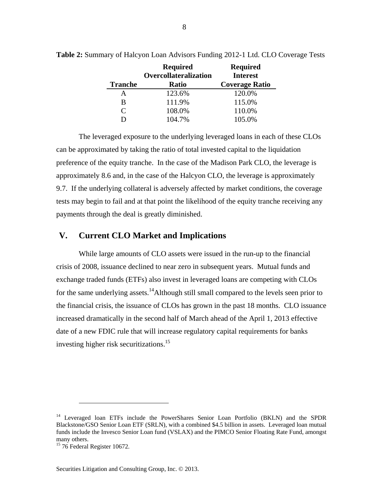| 8 |  |
|---|--|
|---|--|

| <b>Tranche</b>              | <b>Required</b><br>Overcollateralization<br><b>Ratio</b> | <b>Required</b><br><b>Interest</b><br><b>Coverage Ratio</b> |  |
|-----------------------------|----------------------------------------------------------|-------------------------------------------------------------|--|
| А                           | 123.6%                                                   | 120.0%                                                      |  |
| B                           | 111.9%                                                   | 115.0%                                                      |  |
| $\mathcal{C}_{\mathcal{C}}$ | 108.0%                                                   | 110.0%                                                      |  |
|                             | 104.7%                                                   | 105.0%                                                      |  |

**Table 2:** Summary of Halcyon Loan Advisors Funding 2012-1 Ltd. CLO Coverage Tests

The leveraged exposure to the underlying leveraged loans in each of these CLOs can be approximated by taking the ratio of total invested capital to the liquidation preference of the equity tranche. In the case of the Madison Park CLO, the leverage is approximately 8.6 and, in the case of the Halcyon CLO, the leverage is approximately 9.7. If the underlying collateral is adversely affected by market conditions, the coverage tests may begin to fail and at that point the likelihood of the equity tranche receiving any payments through the deal is greatly diminished.

# **V. Current CLO Market and Implications**

While large amounts of CLO assets were issued in the run-up to the financial crisis of 2008, issuance declined to near zero in subsequent years. Mutual funds and exchange traded funds (ETFs) also invest in leveraged loans are competing with CLOs for the same underlying assets.<sup>14</sup>Although still small compared to the levels seen prior to the financial crisis, the issuance of CLOs has grown in the past 18 months. CLO issuance increased dramatically in the second half of March ahead of the April 1, 2013 effective date of a new FDIC rule that will increase regulatory capital requirements for banks investing higher risk securitizations.15

<sup>&</sup>lt;sup>14</sup> Leveraged loan ETFs include the PowerShares Senior Loan Portfolio (BKLN) and the SPDR Blackstone/GSO Senior Loan ETF (SRLN), with a combined \$4.5 billion in assets. Leveraged loan mutual funds include the Invesco Senior Loan fund (VSLAX) and the PIMCO Senior Floating Rate Fund, amongst many others.

<sup>&</sup>lt;sup>15</sup> 76 Federal Register 10672.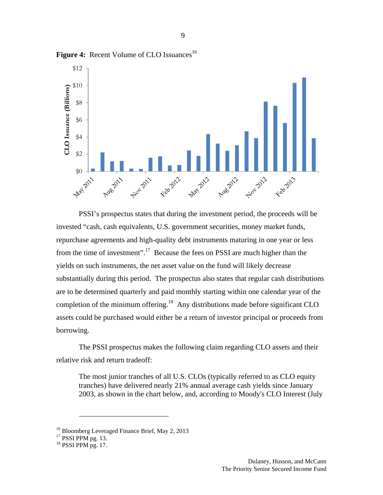

Figure 4: Recent Volume of CLO Issuances<sup>16</sup>

PSSI's prospectus states that during the investment period, the proceeds will be invested "cash, cash equivalents, U.S. government securities, money market funds, repurchase agreements and high-quality debt instruments maturing in one year or less from the time of investment".17 Because the fees on PSSI are much higher than the yields on such instruments, the net asset value on the fund will likely decrease substantially during this period. The prospectus also states that regular cash distributions are to be determined quarterly and paid monthly starting within one calendar year of the completion of the minimum offering.<sup>18</sup> Any distributions made before significant CLO assets could be purchased would either be a return of investor principal or proceeds from borrowing.

The PSSI prospectus makes the following claim regarding CLO assets and their relative risk and return tradeoff:

The most junior tranches of all U.S. CLOs (typically referred to as CLO equity tranches) have delivered nearly 21% annual average cash yields since January 2003, as shown in the chart below, and, according to Moody's CLO Interest (July

<u>.</u>

<sup>&</sup>lt;sup>16</sup> Bloomberg Leveraged Finance Brief, May 2, 2013

 $17$  PSSI PPM pg. 13.

 $18$  PSSI PPM pg. 17.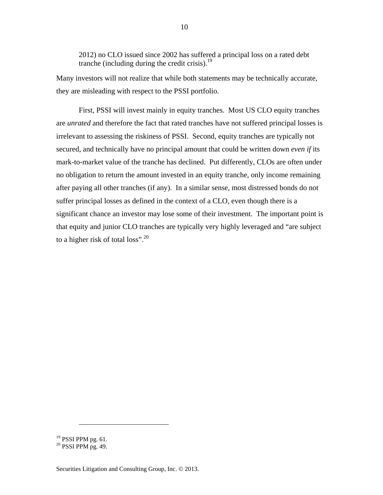2012) no CLO issued since 2002 has suffered a principal loss on a rated debt tranche (including during the credit crisis). $^{19}$ 

Many investors will not realize that while both statements may be technically accurate, they are misleading with respect to the PSSI portfolio.

First, PSSI will invest mainly in equity tranches. Most US CLO equity tranches are *unrated* and therefore the fact that rated tranches have not suffered principal losses is irrelevant to assessing the riskiness of PSSI. Second, equity tranches are typically not secured, and technically have no principal amount that could be written down *even if* its mark-to-market value of the tranche has declined. Put differently, CLOs are often under no obligation to return the amount invested in an equity tranche, only income remaining after paying all other tranches (if any). In a similar sense, most distressed bonds do not suffer principal losses as defined in the context of a CLO, even though there is a significant chance an investor may lose some of their investment. The important point is that equity and junior CLO tranches are typically very highly leveraged and "are subject to a higher risk of total loss".<sup>20</sup>

<sup>&</sup>lt;sup>19</sup> PSSI PPM pg. 61.

 $20$  PSSI PPM pg. 49.

Securities Litigation and Consulting Group, Inc. © 2013.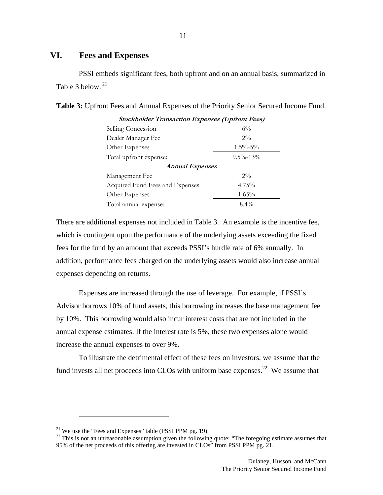## **VI. Fees and Expenses**

PSSI embeds significant fees, both upfront and on an annual basis, summarized in Table 3 below.<sup>21</sup>

| <b>Stockholder Transaction Expenses (Upfront Fees)</b> |                |  |  |  |  |
|--------------------------------------------------------|----------------|--|--|--|--|
| Selling Concession                                     | $6\%$          |  |  |  |  |
| Dealer Manager Fee                                     | $2\%$          |  |  |  |  |
| Other Expenses                                         | $1.5\% - 5\%$  |  |  |  |  |
| Total upfront expense:                                 | $9.5\% - 13\%$ |  |  |  |  |
| <b>Annual Expenses</b>                                 |                |  |  |  |  |
| Management Fee                                         | $2\%$          |  |  |  |  |
| Acquired Fund Fees and Expenses                        | $4.75\%$       |  |  |  |  |
| Other Expenses                                         | $1.65\%$       |  |  |  |  |
| Total annual expense:                                  | $8.4\%$        |  |  |  |  |

| Table 3: Upfront Fees and Annual Expenses of the Priority Senior Secured Income Fund. |  |  |  |  |
|---------------------------------------------------------------------------------------|--|--|--|--|
|---------------------------------------------------------------------------------------|--|--|--|--|

There are additional expenses not included in Table 3. An example is the incentive fee, which is contingent upon the performance of the underlying assets exceeding the fixed fees for the fund by an amount that exceeds PSSI's hurdle rate of 6% annually. In addition, performance fees charged on the underlying assets would also increase annual expenses depending on returns.

Expenses are increased through the use of leverage. For example, if PSSI's Advisor borrows 10% of fund assets, this borrowing increases the base management fee by 10%. This borrowing would also incur interest costs that are not included in the annual expense estimates. If the interest rate is 5%, these two expenses alone would increase the annual expenses to over 9%.

To illustrate the detrimental effect of these fees on investors, we assume that the fund invests all net proceeds into CLOs with uniform base expenses.<sup>22</sup> We assume that

<sup>&</sup>lt;sup>21</sup> We use the "Fees and Expenses" table (PSSI PPM pg. 19).

<sup>&</sup>lt;sup>22</sup> This is not an unreasonable assumption given the following quote: "The foregoing estimate assumes that 95% of the net proceeds of this offering are invested in CLOs" from PSSI PPM pg. 21.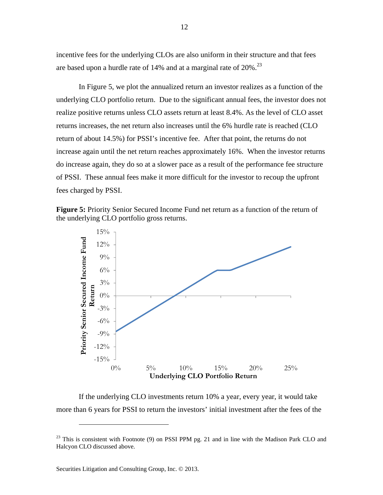incentive fees for the underlying CLOs are also uniform in their structure and that fees are based upon a hurdle rate of  $14\%$  and at a marginal rate of  $20\%$ <sup>23</sup>

In Figure 5, we plot the annualized return an investor realizes as a function of the underlying CLO portfolio return. Due to the significant annual fees, the investor does not realize positive returns unless CLO assets return at least 8.4%. As the level of CLO asset returns increases, the net return also increases until the 6% hurdle rate is reached (CLO return of about 14.5%) for PSSI's incentive fee. After that point, the returns do not increase again until the net return reaches approximately 16%. When the investor returns do increase again, they do so at a slower pace as a result of the performance fee structure of PSSI. These annual fees make it more difficult for the investor to recoup the upfront fees charged by PSSI.





 If the underlying CLO investments return 10% a year, every year, it would take more than 6 years for PSSI to return the investors' initial investment after the fees of the

<sup>&</sup>lt;sup>23</sup> This is consistent with Footnote (9) on PSSI PPM pg. 21 and in line with the Madison Park CLO and Halcyon CLO discussed above.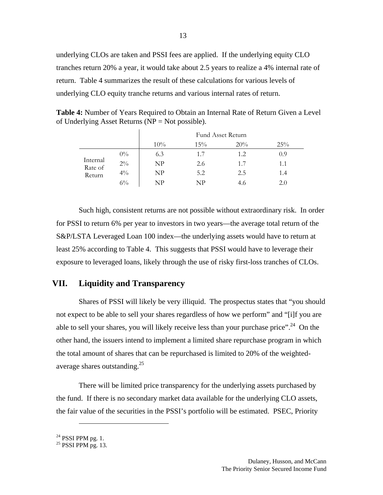underlying CLOs are taken and PSSI fees are applied. If the underlying equity CLO tranches return 20% a year, it would take about 2.5 years to realize a 4% internal rate of return. Table 4 summarizes the result of these calculations for various levels of underlying CLO equity tranche returns and various internal rates of return.

**Table 4:** Number of Years Required to Obtain an Internal Rate of Return Given a Level of Underlying Asset Returns ( $NP = Not possible$ ).

|                     |       | Fund Asset Return |           |     |     |
|---------------------|-------|-------------------|-----------|-----|-----|
|                     |       | 10%               | 15%       | 20% | 25% |
|                     | $0\%$ | 6.3               | 1.7       | 1.2 | 0.9 |
| Internal<br>Rate of | $2\%$ | NP                | 2.6       | 1.7 | 1.1 |
| Return              | $4\%$ | NP                | 5.2       | 2.5 | 1.4 |
|                     | $6\%$ | NP                | $N\rm{P}$ | 4.6 | 2.0 |

Such high, consistent returns are not possible without extraordinary risk. In order for PSSI to return 6% per year to investors in two years—the average total return of the S&P/LSTA Leveraged Loan 100 index—the underlying assets would have to return at least 25% according to Table 4. This suggests that PSSI would have to leverage their exposure to leveraged loans, likely through the use of risky first-loss tranches of CLOs.

# **VII. Liquidity and Transparency**

Shares of PSSI will likely be very illiquid. The prospectus states that "you should not expect to be able to sell your shares regardless of how we perform" and "[i]f you are able to sell your shares, you will likely receive less than your purchase price".<sup>24</sup> On the other hand, the issuers intend to implement a limited share repurchase program in which the total amount of shares that can be repurchased is limited to 20% of the weightedaverage shares outstanding.25

There will be limited price transparency for the underlying assets purchased by the fund. If there is no secondary market data available for the underlying CLO assets, the fair value of the securities in the PSSI's portfolio will be estimated. PSEC, Priority

1

 $24$  PSSI PPM pg. 1.

 $^{25}$  PSSI PPM pg. 13.